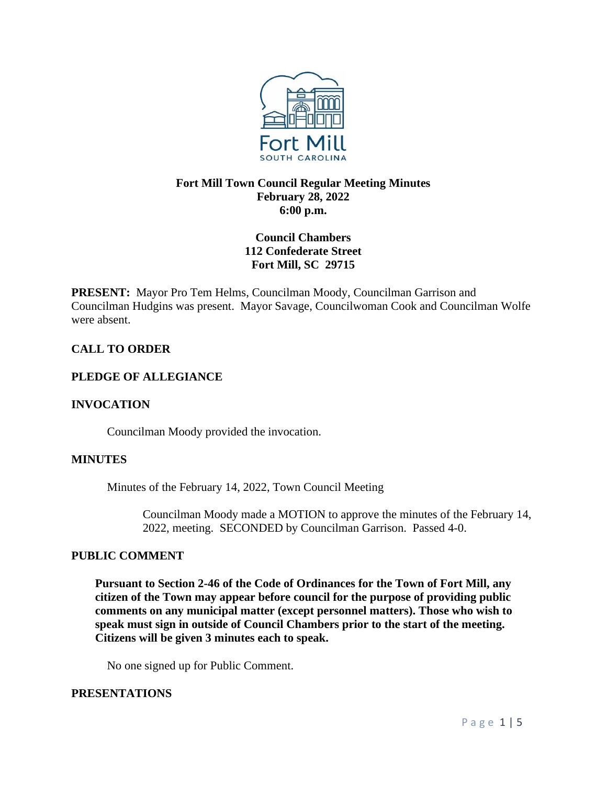

# **Fort Mill Town Council Regular Meeting Minutes February 28, 2022 6:00 p.m.**

# **Council Chambers 112 Confederate Street Fort Mill, SC 29715**

**PRESENT:** Mayor Pro Tem Helms, Councilman Moody, Councilman Garrison and Councilman Hudgins was present. Mayor Savage, Councilwoman Cook and Councilman Wolfe were absent.

# **CALL TO ORDER**

## **PLEDGE OF ALLEGIANCE**

## **INVOCATION**

Councilman Moody provided the invocation.

## **MINUTES**

Minutes of the February 14, 2022, Town Council Meeting

Councilman Moody made a MOTION to approve the minutes of the February 14, 2022, meeting. SECONDED by Councilman Garrison. Passed 4-0.

## **PUBLIC COMMENT**

**Pursuant to Section 2-46 of the Code of Ordinances for the Town of Fort Mill, any citizen of the Town may appear before council for the purpose of providing public comments on any municipal matter (except personnel matters). Those who wish to speak must sign in outside of Council Chambers prior to the start of the meeting. Citizens will be given 3 minutes each to speak.**

No one signed up for Public Comment.

## **PRESENTATIONS**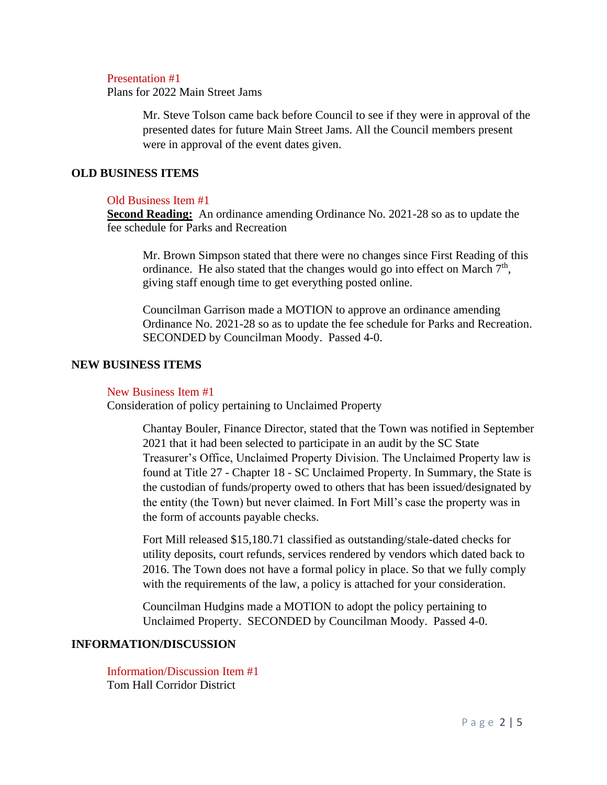#### Presentation #1

Plans for 2022 Main Street Jams

Mr. Steve Tolson came back before Council to see if they were in approval of the presented dates for future Main Street Jams. All the Council members present were in approval of the event dates given.

#### **OLD BUSINESS ITEMS**

#### Old Business Item #1

**Second Reading:** An ordinance amending Ordinance No. 2021-28 so as to update the fee schedule for Parks and Recreation

Mr. Brown Simpson stated that there were no changes since First Reading of this ordinance. He also stated that the changes would go into effect on March  $7<sup>th</sup>$ , giving staff enough time to get everything posted online.

Councilman Garrison made a MOTION to approve an ordinance amending Ordinance No. 2021-28 so as to update the fee schedule for Parks and Recreation. SECONDED by Councilman Moody. Passed 4-0.

#### **NEW BUSINESS ITEMS**

#### New Business Item #1

Consideration of policy pertaining to Unclaimed Property

Chantay Bouler, Finance Director, stated that the Town was notified in September 2021 that it had been selected to participate in an audit by the SC State Treasurer's Office, Unclaimed Property Division. The Unclaimed Property law is found at Title 27 - Chapter 18 - SC Unclaimed Property. In Summary, the State is the custodian of funds/property owed to others that has been issued/designated by the entity (the Town) but never claimed. In Fort Mill's case the property was in the form of accounts payable checks.

Fort Mill released \$15,180.71 classified as outstanding/stale-dated checks for utility deposits, court refunds, services rendered by vendors which dated back to 2016. The Town does not have a formal policy in place. So that we fully comply with the requirements of the law, a policy is attached for your consideration.

Councilman Hudgins made a MOTION to adopt the policy pertaining to Unclaimed Property. SECONDED by Councilman Moody. Passed 4-0.

## **INFORMATION/DISCUSSION**

Information/Discussion Item #1 Tom Hall Corridor District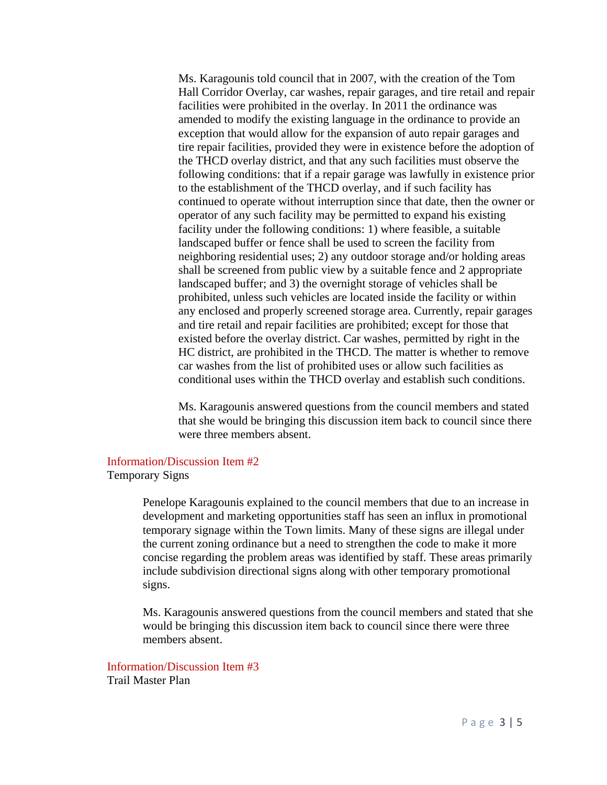Ms. Karagounis told council that in 2007, with the creation of the Tom Hall Corridor Overlay, car washes, repair garages, and tire retail and repair facilities were prohibited in the overlay. In 2011 the ordinance was amended to modify the existing language in the ordinance to provide an exception that would allow for the expansion of auto repair garages and tire repair facilities, provided they were in existence before the adoption of the THCD overlay district, and that any such facilities must observe the following conditions: that if a repair garage was lawfully in existence prior to the establishment of the THCD overlay, and if such facility has continued to operate without interruption since that date, then the owner or operator of any such facility may be permitted to expand his existing facility under the following conditions: 1) where feasible, a suitable landscaped buffer or fence shall be used to screen the facility from neighboring residential uses; 2) any outdoor storage and/or holding areas shall be screened from public view by a suitable fence and 2 appropriate landscaped buffer; and 3) the overnight storage of vehicles shall be prohibited, unless such vehicles are located inside the facility or within any enclosed and properly screened storage area. Currently, repair garages and tire retail and repair facilities are prohibited; except for those that existed before the overlay district. Car washes, permitted by right in the HC district, are prohibited in the THCD. The matter is whether to remove car washes from the list of prohibited uses or allow such facilities as conditional uses within the THCD overlay and establish such conditions.

Ms. Karagounis answered questions from the council members and stated that she would be bringing this discussion item back to council since there were three members absent.

#### Information/Discussion Item #2

Temporary Signs

Penelope Karagounis explained to the council members that due to an increase in development and marketing opportunities staff has seen an influx in promotional temporary signage within the Town limits. Many of these signs are illegal under the current zoning ordinance but a need to strengthen the code to make it more concise regarding the problem areas was identified by staff. These areas primarily include subdivision directional signs along with other temporary promotional signs.

Ms. Karagounis answered questions from the council members and stated that she would be bringing this discussion item back to council since there were three members absent.

Information/Discussion Item #3 Trail Master Plan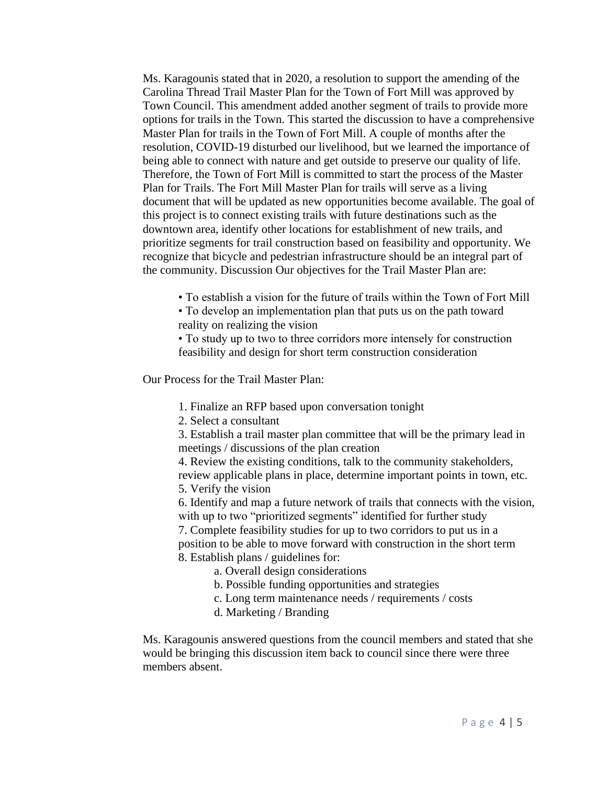Ms. Karagounis stated that in 2020, a resolution to support the amending of the Carolina Thread Trail Master Plan for the Town of Fort Mill was approved by Town Council. This amendment added another segment of trails to provide more options for trails in the Town. This started the discussion to have a comprehensive Master Plan for trails in the Town of Fort Mill. A couple of months after the resolution, COVID-19 disturbed our livelihood, but we learned the importance of being able to connect with nature and get outside to preserve our quality of life. Therefore, the Town of Fort Mill is committed to start the process of the Master Plan for Trails. The Fort Mill Master Plan for trails will serve as a living document that will be updated as new opportunities become available. The goal of this project is to connect existing trails with future destinations such as the downtown area, identify other locations for establishment of new trails, and prioritize segments for trail construction based on feasibility and opportunity. We recognize that bicycle and pedestrian infrastructure should be an integral part of the community. Discussion Our objectives for the Trail Master Plan are:

• To establish a vision for the future of trails within the Town of Fort Mill

• To develop an implementation plan that puts us on the path toward reality on realizing the vision

• To study up to two to three corridors more intensely for construction feasibility and design for short term construction consideration

Our Process for the Trail Master Plan:

1. Finalize an RFP based upon conversation tonight

2. Select a consultant

3. Establish a trail master plan committee that will be the primary lead in meetings / discussions of the plan creation

4. Review the existing conditions, talk to the community stakeholders, review applicable plans in place, determine important points in town, etc. 5. Verify the vision

6. Identify and map a future network of trails that connects with the vision, with up to two "prioritized segments" identified for further study

7. Complete feasibility studies for up to two corridors to put us in a position to be able to move forward with construction in the short term 8. Establish plans / guidelines for:

a. Overall design considerations

- b. Possible funding opportunities and strategies
- c. Long term maintenance needs / requirements / costs
- d. Marketing / Branding

Ms. Karagounis answered questions from the council members and stated that she would be bringing this discussion item back to council since there were three members absent.